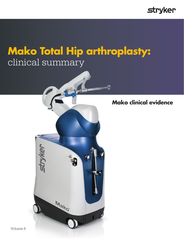

# **Mako Total Hip arthroplasty:** clinical summary



**Mako clinical evidence**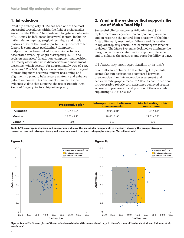# **1. Introduction**

Total hip arthroplasty (THA) has been one of the most successful procedures within the field of orthopaedics since the late  $1960s$ .<sup>1</sup> The short- and long-term outcomes of THA may be influenced by several factors, including patient demographics, surgical technique and implant features.2 One of the most important surgeon-controlled factors is component positioning.<sup>2</sup> Component malposition has been linked to poor biomechanics, accelerated wear, leg length discrepancy (LLD), and revision surgeries.<sup>2</sup> In addition, component malposition is directly associated with dislocations and mechanical loosening, which account for approximately 40% of THA revisions.3 The Mako System was introduced with a goal of providing more accurate implant positioning and alignment to plan, to help restore anatomy and enhance patient outcomes. This document summarizes the evidence to date that supports the use of Robotic-Arm Assisted Surgery for total hip arthroplasty.

# **2. What is the evidence that supports the use of Mako Total Hip?**

Successful clinical outcomes following total joint replacement are dependent on component placement and on restoring the natural joint anatomy of the hip.2 Instability, early mechanical failures and dislocation in hip arthroplasty continue to be primary reasons for revision.3 The Mako System is designed to minimize the margin of error associated with component placement and to enhance the accuracy and reproducibility of THA.

## 2.1 Accuracy and reproducibility in THA

In a multicenter clinical trial including 110 patients, acetabular cup position was compared between preoperative plan, intraoperative assessment and achieved radiographic measure.4 Results confirmed that intraoperative robotic-arm assistance achieved greater accuracy in preparation and position of the acetabular cup during THA (Table 1).4

|                | <b>Preoperative plan</b>       | Intraoperative robotic-arm<br>measurements | <b>Martell radiographic</b><br>measurement |
|----------------|--------------------------------|--------------------------------------------|--------------------------------------------|
| Inclination    | $40.0^{\circ} + 1.2^{\circ}$   | $39.9^{\circ} + 2.0^{\circ}$               | $40.0^{\circ}$ + 4.1°                      |
| <b>Version</b> | $18.7^{\circ} \pm 3.1^{\circ}$ | $18.6^{\circ} \pm 3.9^{\circ}$             | $21.5^{\circ} \pm 6.1^{\circ}$             |
| Count (n)      | 119                            | 119                                        | 110                                        |

**Figure 1b**

Table 1. The average inclination and anteversion values of the acetabular components in the study, showing the preoperative plan, measures recorded intraoperatively and those measured from plan radiographs using the Martell method.2





Figures 1a and 1b. Scatterplots of the (a) robotic-assisted and (b) conventional cups in the safe zones of Lewinnek et al. and Callanan et al. are shown.6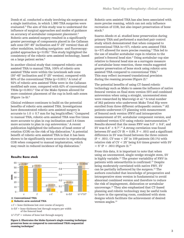Domb et al. conducted a study involving six surgeons at a single institution, in which 1,980 THA surgeries were evaluated.5 The aim of this study was to understand the influence of surgical approaches and modes of guidance on accuracy of acetabular component placement.5 Robotic-arm assisted surgery resulted in a significantly greater percentage of components placed in the Callanan safe zone (30°-45° inclination and 5°-25° version) than all other modalities, including navigation- and fluoroscopyguided approaches (p<0.05).5 This study highlighted the consistency of the robotic-arm assisted technology, based on a large patient series.<sup>5</sup>

In another clinical study that compared robotic-arm assisted THA to manual THA, 100% of robotic-arm assisted THAs were within the Lewinnek safe zone (30°-45° inclination and 5°-25° version), compared with  $80\%$  of the conventional THAs  $(p=0.001)$ .<sup>6</sup> A total of 92% of robotic-arm assisted THAs were in the Callanan modified safe zone, compared with 62% of conventional THAs (p=0.001).<sup>6</sup> Use of the Mako System allowed for more consistent placement of the cup in both safe zones (Figure 1a-b).6

Clinical evidence continues to build on the potential benefits of robotic-arm assisted THA. Investigations have demonstrated robotic-arm assisted surgery is accurate to  $1.0 \pm 0.7$  mm for leg length/offset.<sup>7</sup> Compared to manual THA, robotic-arm assisted THA was five times more accurate to plan in cup inclination and 3.4 times more accurate to plan in cup anteversion.7 A recent publication highlighted the influence of head center of rotation (COR) on the risk of hip dislocation.<sup>8</sup> A potential benefit of robotic-arm assisted THA is that it has been shown to be significantly more accurate in reproducing COR when compared to manual implantation, which may result in reduced incidence of hip dislocation.7



**Results: Bone stock**

 $(c-f)/f =$  bone thickness lost through surgery per width of the femoral head

 $(c^3-f^3)/f^3 =$  volume of bone lost through surgery

Figure 2. Illustrates the Mako System's single reaming technique preserves bone as compared to conventional THA's sequential reaming technique.<sup>9</sup>

Robotic-arm assisted THA has also been associated with more precise reaming, which can not only influence recreation of COR, but also impact preservation of bone stock.<sup>9</sup>

Suarez-Ahedo et al. studied bone preservation during primary THA and performed a matched pair control study which demonstrated that when compared to conventional THA (n=57), robotic-arm assisted THA  $(n=57)$  allowed for more precise reaming. $9$  This led to the use of smaller acetabular cups in relation to the patient's femoral head size.<sup>9</sup> Using acetabular cup size relative to femoral head size as a surrogate measure of acetabular bone resection, these results suggested greater preservation of bone stock using robotic-arm assisted THA compared to conventional THA.9 This may reflect increased translational precision during the reaming process (Figure 2).9

The potential benefits of using CT-based robotic technology such as Mako to assess the influence of native femoral version on final stem version (SV) and combined anteversion when using a straight, uncemented stem were researched by Marcovigi et al.<sup>10</sup> A total number of 362 patients who underwent Mako Total Hip were enrolled from three different orthopaedic centers.<sup>10</sup> All patients underwent CT planning with measurement of femoral neck version (FNV) and intraoperative measurement of SV, acetabular component version, and combined version  $(CV)$  using robotic instrumentation.<sup>10</sup> Results showed that the mean FNV was  $5.0^{\circ} \pm 9.6^{\circ}$ , and SV was  $6.4^{\circ} \pm 9.7^{\circ}$ .<sup>10</sup> A strong correlation was found between SV and CV ( $R = 0.89, P < .001$ ) and a significant difference in SV was found between the three centers  $(P < .001)$ . CV was  $< 25^{\circ}$  in 109 patients (30.1%) with relative risk of CV < 25° being 8.6 times greater with SV  $< 5^{\circ}$  (P  $< .001$ ) (Figure 3).<sup>10</sup>

From this data, it is important to note that when using an uncemented, single-wedge straight stem, SV is highly variable.10 The greater variability of FNV in patients with osteoarthritis is confirmed.10 Despite being moderately correlated with native FNV, SV can be partially influenced by the surgeon.10 The authors concluded that knowledge of preoperative and intraoperative stem version is fundamental to avoid abnormal combined version and therefore to reduce the risk of impingement, dislocation or acetabular uncoverage.10 They also emphasized that CT-based planning and robotic technology may be useful tools to have in the operating room, combined with stem designs which facilitate the achievement of desired version angles.<sup>10</sup>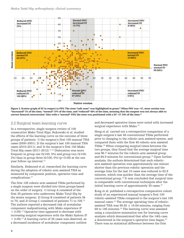

Figure 3. Scatter graph of SV in respect to FNV. The stem "safe zone" was highlighted in green.<sup>10</sup> When FNV was <5°, stem version was "increased" 3% of the time, "normal" 37% of the time, and "reduced" 60% of the time, meaning that the surgeon was not always able to correct femoral retroversion.<sup>9</sup> Also with a "normal" FNV, the stem was positioned with a SV <5° 34% of the time.10

## 2.2 Surgical team learning curve

In a retrospective, single-surgeon review of 100 consecutive Mako Total Hips, Bukowski et al. studied the effects of the learning curve on the outcome of three groups of patients: 1) the surgeon's first 100 manual THA cases (2000-2001); 2) the surgeon's last 100 manual THA cases (2010-2011); and 3) the surgeon's first 100 Mako Total Hip cases (2011-2012).11,12 Dislocation was more frequent in group one (5/100, 5%) and group two (3/100, 3%) than in group three  $(0/100, 0\%)$  (p<0.05) at the one year follow-up interval.<sup>12</sup>

Similarly, Redmond et al. researched the learning curve during the adoption of robotic-arm assisted THA as measured by component position, operative time and complications.13

The first 105 robotic-arm assisted THAs performed by a single surgeon were divided into three groups based on the order of surgery: 1) Group A consisted of the first 35 patients who underwent Mako Total Hip by the senior surgeon; 2) Group B consisted of patients 36 to 70; and 3) Group C consisted of patients 71 to 105.<sup>13</sup> The authors reported a decreased risk of acetabular component malpositioning with Mako experience (P  $< 0.05$ ).<sup>13</sup> Operative time appeared to decrease with increasing surgical experience with the Mako System (P  $< 0.05$ ).<sup>13</sup> A learning curve of 35 cases was observed, as a decreased incidence of acetabular component outliers

and decreased operative times were noted with increased surgical experience with Mako.<sup>13</sup>

Heng et al. carried out a retrospective comparison of a single surgeon's last 45 conventional THAs performed prior to changing to the robotic-arm assisted system, and compared them with the first 45 robotic-arm assisted THAs.14 When comparing surgical times between the two groups, they found that the average surgical time was 96.7 minutes for the robotic-arm assisted group and 84.9 minutes for conventional group.<sup>14</sup> Upon further analysis, the authors determined that each roboticarm assisted operation was approximately one minute shorter than the previous robotic operation and the average time for the last 10 cases was reduced to 82.9 minutes, which was quicker than the average time of the conventional group.14 It was concluded that surgical time is comparable with conventional techniques after the initial learning curve of approximately 35 cases.<sup>14</sup>

Kong et al. published a retrospective comparative cohort study of an experienced manual surgeon's first 100 robotic-assisted THAs compared to the surgeon's last 100 manual cases.15 The average operating time of roboticassisted THA was  $95.92 \pm 15.64$  minutes, ranging from 68 to 145 minutes.15 The learning curve was assessed using a cumulative summation test for learning curve analysis which demonstrated that after the 14th case, a downtrend in the surgeon's operative time began.15 There was no statistical difference between the first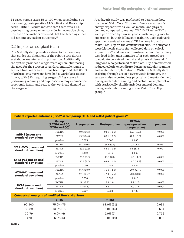14 cases versus cases 15 to 100 when considering cup positioning, postoperative LLD, offset and Harris hip score (HHS).<sup>15</sup> Results indicate that there was a 14case learning curve when considering operative time; however, the authors observed that this learning curve did not impact patient outcomes.<sup>15</sup>

## 2.3 Impact on surgical team

The Mako System provides a stereotactic boundary that guides the alignment of the robotic arm during acetabular reaming and cup insertion. Additionally, the system provides a single-ream option, eliminating the need for the surgeon to perform multiple reams to achieve final ream size. It has been reported that 66.1% of arthroplasty surgeons have had a workplace-related injury, with 31% requiring surgery.16 Assistance in performing reaming and cup insertion may enhance the ergonomic health and reduce the workload demand on the surgeon.<sup>16</sup>

A cadaveric study was performed to determine how the use of Mako Total Hip can influence a surgeon's energy expenditure as well as mental and physical demand compared to manual THA.17,18 Twelve THAs were performed by two surgeons, with varying robotic experience, in their fellowship training. Each cadaveric specimen received a manual THA on one hip and a Mako Total Hip on the contralateral side. The surgeons wore biometric shirts that collected data on caloric expenditure<sup>17</sup> and were administered a modified surgery task load index questionnaire after each procedure to evaluate perceived mental and physical demand.<sup>18</sup> Surgeons who performed Mako Total Hip demonstrated reduced caloric expenditure during acetabular reaming and acetabular implantation.17 With the Mako System assisting through use of a stereotactic boundary, the surgeons also reported less physical and mental demand during acetabular reaming and acetabular implantation, with statistically significantly less mental demand during acetabular reaming in the Mako Total Hip group.18

| Patient-reported outcomes (PROMs) comparing rTHA and mTHA patient groups <sup>11</sup> |                                              |                     |                      |                                                  |         |  |
|----------------------------------------------------------------------------------------|----------------------------------------------|---------------------|----------------------|--------------------------------------------------|---------|--|
|                                                                                        | Group<br>(RATHA n=100,<br><b>MTHA n=100)</b> | <b>Preoperative</b> | <b>Postoperative</b> | <b>PROMs</b><br>(postoperative-<br>preoperative) | p-value |  |
|                                                                                        | <b>RATHA</b>                                 | 49.6 (16.3)         | 92.1(10.5)           | 43.0 (18.8)                                      | < 0.001 |  |
| mHHS (mean and<br>standard deviation)                                                  | <b>MTHA</b>                                  | 49.2 (14.8)         | 86.1 (16.2)          | 37.4 (18.3)                                      | < 0.001 |  |
|                                                                                        | p-value                                      | 0.865               | 0.002                | 0.035                                            |         |  |
|                                                                                        | <b>RATHA</b>                                 | 54.1 (10.4)         | 54.6(9.1)            | 0.4(9.7)                                         | 0.629   |  |
| <b>SF12-MCS (mean and</b><br>standard deviation)                                       | <b>MTHA</b>                                  | 53.1(9.6)           | 53.0 (10.2)          | 0.5(11.5)                                        | 0.970   |  |
|                                                                                        | p-value                                      | 0.459               | 0.245                | 0.962                                            |         |  |
|                                                                                        | <b>RATHA</b>                                 | 33.5(9.6)           | 46.010.5             | 12.5(11.8)                                       | < 0.001 |  |
| <b>SF12-PCS (mean and</b><br>standard deviation)                                       | <b>MTHA</b>                                  | 30.3(8.0)           | 44.4 (11.0)          | 14.0(11.9)                                       | < 0.001 |  |
|                                                                                        | p-value                                      | 0.010               | 0.282                | 0.404                                            |         |  |
|                                                                                        | <b>RATHA</b>                                 | 45.6 (18.9)         | 16.0(14.9)           | $-29.6(21.4)$                                    | < 0.001 |  |
| <b>WOMAC</b> (mean and<br>standard deviation)                                          | <b>MTHA</b>                                  | 47.1 (14.7)         | 17.3(15.5)           | $-28.5(18.3)$                                    | < 0.001 |  |
|                                                                                        | p-value                                      | 0.536               | 0.538                | 0.618                                            |         |  |
|                                                                                        | <b>RATHA</b>                                 | 5.1(1.9)            | 6.3(1.8)             | 1.2(1.7)                                         | < 0.001 |  |
| <b>UCLA</b> (mean and<br>standard deviation)                                           | <b>MTHA</b>                                  | 4.8(1.8)            | 5.8(1.7)             | 1.0(1.9)                                         | < 0.001 |  |
|                                                                                        | p-value                                      | 0.227               | 0.033                | 0.429                                            |         |  |
| <b>Categorical analysis of modified Harris Hip Score</b>                               |                                              |                     |                      |                                                  |         |  |
|                                                                                        | <b>rTHA</b>                                  |                     | <b>mTHA</b>          |                                                  |         |  |
|                                                                                        |                                              |                     |                      |                                                  |         |  |

# 90-100 75.0% (75) 61.0% (61) 0.034 80-89 13.0% (13) 15.0% (15) 0.684 70-79 6.0% (6) 5.0% (5) 0.756  $(19.0\%)(19)$   $(19.0\%)(19)$   $(19.0\%)(19)$   $(19.0\%)(19)$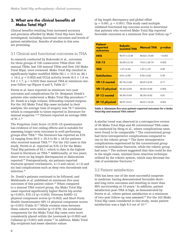# **3. What are the clinical benefits of Mako Total Hip?**

Clinical benefits resulting from increased accuracy and precision afforded by Mako Total Hip have been investigated, including functional outcomes and levels of patient satisfaction. Results of studies in this area are promising.

## 3.1 Clinical and functional outcomes in THA

In research conducted by Bukowski et al., outcomes for three groups of 100 consecutive THAs (first 100 manual THAs, last 100 manual THAs and first 100 Mako Total Hips), were reviewed. Mako Total Hip resulted in significantly higher modified HHSs  $(92.1 \pm 10.5 \text{ vs. } 86.1)$  $\pm$  16.2, p = 0.002) and UCLA activity levels (6.3  $\pm$  1.8 vs.  $5.8 \pm 1.7$ , p = 0.033) than manual THA at minimum oneyear follow-up (Figure 4 and 5, Table 2).<sup>11</sup>

Perets et al. have reported on minimum two-year outcomes and complications for Dr. Benjamin Domb's patients who underwent a Mako Total Hip procedure.<sup>20</sup> Dr. Domb is a high-volume, fellowship-trained surgeon. For the 162 Mako Total Hip cases included in their analysis, the average time of surgery was 76.7 minutes, which is comparable to times reported in literature for manual surgeries.<sup>12,20</sup> Patients reported an average HHS of 91.1.20

The Forgotten Joint Score-12 (FJS-12) questionnaire has evidence of low-ceiling effects and is suitable for assessing longer term outcomes in well-performing groups after THA.21 The literature has reported an FJS-12 ranging from  $50.9 \pm 25.3$  to  $80 \pm 24$  for patients who received manual THA.<sup>20,21</sup> For the 162 cases in this study, Perets et al. reported an FJS-12 for the Mako Total Hip patients of 83.1, which to date is the highest found in literature on THA.<sup>20</sup> Additionally, at two years, there were no leg length discrepancies or dislocations reported.20 Postoperatively, six patients reported fractures (greater trochanteric,  $n=3$  and calcar,  $n=3$ ) and six had complications such as deep vein thrombosis and infection.20

Dr. Domb's patients continued to be followed, and Maldonado et al. published on minimum five-year outcomes of this patient cohort.<sup>22</sup> When compared to a manual THA control group, the Mako Total Hip cases reported significantly higher Harris hip scores (p<0.001), FJS-12 (p=0.002), Veterans RAND-12 physical component scores (p=0.002), and Short Form Health Questionnaire (SF)-12 physical component scores  $(p=0.001)$  (Table 3).<sup>22</sup> While revision rates between these cohorts were similar  $(p=0.479)$ , the acetabular components for the Mako Total Hip cases were more consistently placed within the Lewinnek (p=0.002) and Callanan (p=0.001) safe zones. $22$  In addition, Mako Total Hip recipients had lesser absolute values

of leg length discrepancy and global offset  $(p = 0.091, p = 0.001)$ . This study used multiple validated functional hip outcome scores to determine that patients who received Mako Total Hip reported favorable outcomes at a minimum five-year follow-up.<sup>22</sup>

| <b>Patient-</b><br>reported<br>outcomes | <b>Robotic-</b><br>assisted THA | <b>Manual THA</b> | p-value |
|-----------------------------------------|---------------------------------|-------------------|---------|
| <b>HHS</b>                              | $90.57 \pm 13.46$               | $84.62 \pm 14.45$ | < 0.001 |
| <b>FJS-12</b>                           | $82.69 \pm 21.53$               | $70.61 \pm 26.74$ | 0.002   |
| <b>VAS</b>                              | $1.27 \pm 2.20$                 | $1.07 \pm 1.87$   | 0.45    |
| <b>Satisfaction</b>                     | $8.91 \pm 2.00$                 | $8.52 \pm 2.62$   | 0.35    |
| <b>VR-12 mental</b>                     | $60.76 \pm 5.94$                | $58.97 \pm 6.03$  | 0.17    |
| <b>VR-12 physical</b>                   | $50.30 \pm 8.83$                | $45.92 \pm 9.44$  | 0.002   |
| <b>SF-12 mental</b>                     | $56.59 \pm 5.60$                | $56.20 \pm 6.62$  | 0.81    |
| <b>SF-12 physical</b>                   | $48.97 \pm 9.21$                | $44.01 \pm 10.26$ | 0.001   |

Table 3. Minimum five-year patient-reported outcomes for a Mako Total Hip and manual THA cohort.<sup>22</sup>

A similar trend was observed in a retrospective review of 45 Mako Total Hips and 45 conventional THA cases as conducted by Heng et al., where complications rates were found to be comparable.<sup>14</sup> The conventional group had three intraoperative complications compared to one in the robotic group.14 The three intraoperative complications experienced by the conventional group related to acetabular fractures, while the robotic group had none.<sup>14</sup> The authors suggested that this could be due to the single-ream, minimal bone resection technique utilized by the robotic system, which may decrease the risk of acetabular fractures.14

### 3.2 Patient satisfaction

THA has been one of the most successful surgeries in medicine, having demonstrated favorable shortand long-term outcomes and resulting in more than 95% survivorship at 10 years.<sup>1</sup> In addition, patient satisfaction post-THA is high, as demonstrated by Perets et al., where patient satisfaction at a minimum of two-year follow-up was assessed.20 For the 162 Mako Total Hip cases considered in this study, mean patient satisfaction was a high 9.3 out of 10.<sup>20</sup>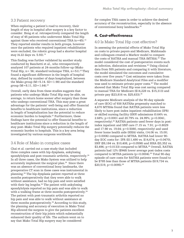#### 3.3 Patient recovery

When exploring a patient's road to recovery, their length of stay in hospital after surgery is a key factor to consider. Heng et al. retrospectively compared the length of stay of 45 patients who underwent Mako Total Hip against those who received conventional THA  $(n=45)$ .<sup>14</sup> They reported similar results in both groups, however once the patients who required inpatient rehabilitation were excluded, the robotic group had a shorter hospital stay (4.22 days vs. 5.93).<sup>14</sup>

This finding was further validated by another study conducted by Banchetti et al., who retrospectively analyzed 107 patients at 24-months follow-up (Mako Total Hip,  $n= 56$ ; standard technique THA,  $n=51$ ).<sup>23</sup> They found a significant difference in the length of hospital stay, defined by number of days hospitalized, between the Mako group  $(M=5.14. SD=1.98)$  and the standard group  $(M=8.11, SD=1.64).^{23}$ 

Overall, early data from these studies suggests that patients who undergo Mako Total Hip may be able, on average, to return home sooner after surgery than those who undergo conventional THA. This may pose a great advantage for the patients' well-being and offer financial benefits to healthcare institutions, since a reduction in length of hospitalization has the potential to reduce economic burden to hospitals.<sup>23</sup> Furthermore, these findings have the potential to offer financial benefits to healthcare institutions since a reduction in the length of stay post–Mako Total Hip surgery potentially reduces the economic burden to hospitals. This is a key area being investigated by various surgeons worldwide.

#### 3.4 Role of Mako in complex cases

Chai et al. carried out a case study that included three complex cases with hip dysplasia, ankylosing spondylolysis and post-traumatic arthritis, respectively.<sup>24</sup> In all three cases, the Mako System was utilized to help accurately implement the surgical plan.<sup>24</sup> Since there was an absence of conventional bony landmarks, the preoperative CT scan in these cases was instrumental in planning.24 The hip dysplasia patient reported at three months postoperatively that they were able to walk without assistance, had no hip pain and were satisfied with their leg lengths.<sup>24</sup> The patient with ankylosing spondylolysis reported no hip pain and was able to walk with a walking frame at three months postoperatively.<sup>24</sup> The patient with post-traumatic arthritis reported no hip pain and was able to walk without assistance at three months postoperatively.<sup>24</sup> According to this study, the planning and accuracy of execution in Mako Total Hip allowed the surgeon to give the patients excellent reconstruction of their hip joints which substantially enhanced their quality of life. The authors went on to say that Mako Total Hip surgery may be considered

for complex THA cases in order to achieve the desired accuracy of the reconstruction, especially in the absence of conventional bony landmarks.24

# **4. Cost-effectiveness**

#### 4.0 Is Mako Total Hip cost effective?

In assessing the potential effects of Mako Total Hip on costs to private payers and Medicare, Maldonado and colleagues created a Markov model to compare the costs of RATHA and manual THA (MTHA).<sup>25</sup> The model considered the cost of postoperative events such as infection, dislocation and revisions.25 Using clinical data from 555 patients and comparing it with literature, the model simulated the outcomes and cumulative costs over five years.25 Cost estimates were taken from the Medicare Standard Analytical Files and a modifier was used to estimate private payer costs.25 The model showed that Mako Total Hip was cost saving compared to manual THA for Medicare (\$14,228 vs. \$15,313) and private pay (\$23,816 vs. \$25,633).<sup>25</sup>

A separate Medicare analysis of the 90-day episode of care (EOC) of 938 RATHAs propensity matched to 4,670 MTHAs found that RATHA patients were less likely to have post-index inpatient rehabilitation (IPR) or skilled nursing facility (SNF) admissions (0.64% vs. 2.68%; p<0.0001 and 20.79% vs. 24.99%; p=0.0041, respectively).26 RATHA patients used fewer days in postindex inpatient and SNF care  $(7.15 \text{ vs. } 7.91; \text{ p} = 0.8029)$ and 17.98 vs. 19.64; p=0.5080, respectively) and used fewer home health aide (HHA) visits, (14.06 vs. 15.00; p=0.0006) compared to MTHA. RATHA had lower 90 day EOC costs for: IPR (\$11,490 vs. \$14,674; p=0.0470), SNF (\$9,184 vs. \$10,408, p=0.0598) and HHA (\$3,352 vs.  $$3,496$ ; p=0.0133) compared to MTHA.<sup>26</sup> Overall, RATHA patients had 12% (\$948) lower average post-index costs compared to MTHA patients  $(p=0.0004).^{26}$  Total 90-day episode-of-care costs for RATHA patients were found to be \$785 less than those of MTHA patients (\$19,734 vs.  $$20,519, p=0.0095$ .<sup>26</sup>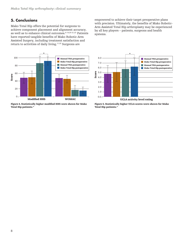# **5. Conclusions**

Mako Total Hip offers the potential for surgeons to achieve component placement and alignment accuracy, as well as to enhance clinical outcomes.4-14,20-21,23 Patients have reported tangible benefits of Mako Robotic-Arm Assisted Surgery, including treatment satisfaction and return to activities of daily living.<sup>11,22</sup> Surgeons are



Figure 4. Statistically higher modified HHS were shown for Mako Total Hip patients.<sup>11</sup>

empowered to achieve their target preoperative plans with precision. Ultimately, the benefits of Mako Robotic-Arm Assisted Total Hip arthroplasty may be experienced by all key players – patients, surgeons and health systems.



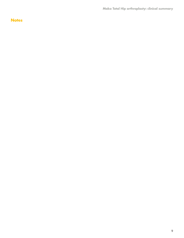**Mako Total Hip arthroplasty: clinical summary**

# **Notes**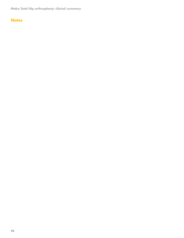**Mako Total Hip arthroplasty: clinical summary**

# **Notes**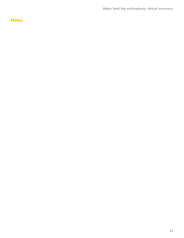**Mako Total Hip arthroplasty: clinical summary**

# **Notes**